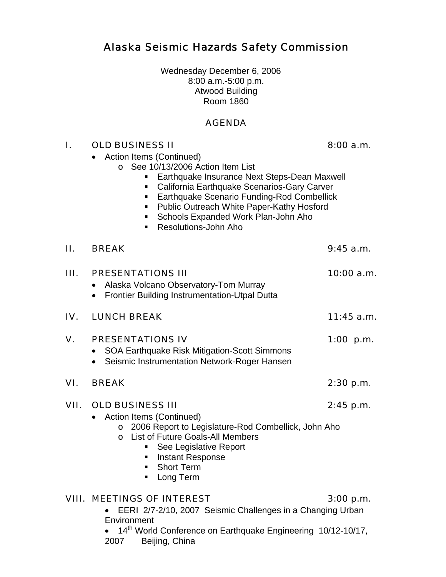Alaska Seismic Hazards Safety Commission

Wednesday December 6, 2006 8:00 a.m.-5:00 p.m. Atwood Building Room 1860

### AGENDA

### I. OLD BUSINESS II 8:00 a.m.

• Action Items (Continued)

- o See 10/13/2006 Action Item List
	- **Earthquake Insurance Next Steps-Dean Maxwell**
	- **California Earthquake Scenarios-Gary Carver**
	- **Earthquake Scenario Funding-Rod Combellick**
	- **Public Outreach White Paper-Kathy Hosford**
	- **Schools Expanded Work Plan-John Aho**
	- Resolutions-John Aho

| П.     | <b>BREAK</b>                                                                                                                                                                                                                                      | $9:45$ a.m. |
|--------|---------------------------------------------------------------------------------------------------------------------------------------------------------------------------------------------------------------------------------------------------|-------------|
| III. I | <b>PRESENTATIONS III</b><br>Alaska Volcano Observatory-Tom Murray<br>Frontier Building Instrumentation-Utpal Dutta                                                                                                                                | 10:00 a.m.  |
| IV.    | <b>LUNCH BREAK</b>                                                                                                                                                                                                                                | 11:45 a.m.  |
| V.     | <b>PRESENTATIONS IV</b><br>SOA Earthquake Risk Mitigation-Scott Simmons<br>Seismic Instrumentation Network-Roger Hansen                                                                                                                           | 1:00 p.m.   |
| VI.    | <b>BREAK</b>                                                                                                                                                                                                                                      | 2:30 p.m.   |
| VII.   | <b>OLD BUSINESS III</b><br>Action Items (Continued)<br>o 2006 Report to Legislature-Rod Combellick, John Aho<br>List of Future Goals-All Members<br>$\Omega$<br>See Legislative Report<br>Instant Response<br><b>Short Term</b><br>Long Term<br>п | $2:45$ p.m. |
|        | VIII. MEETINGS OF INTEREST                                                                                                                                                                                                                        | $3:00$ p.m. |

• EERI 2/7-2/10, 2007 Seismic Challenges in a Changing Urban **Environment** 

• 14<sup>th</sup> World Conference on Earthquake Engineering 10/12-10/17, 2007 Beijing, China